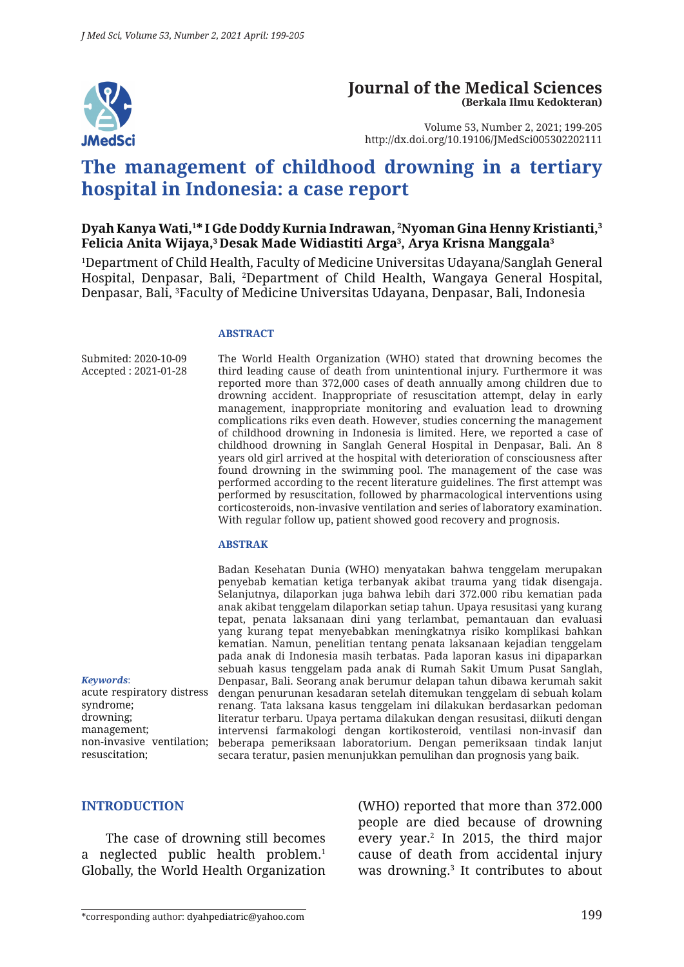

# **Journal of the Medical Sciences (Berkala Ilmu Kedokteran)**

Volume 53, Number 2, 2021; 199-205 http://dx.doi.org/10.19106/JMedSci005302202111

# **The management of childhood drowning in a tertiary hospital in Indonesia: a case report**

## **Dyah Kanya Wati,1 \* I Gde Doddy Kurnia Indrawan, 2 Nyoman Gina Henny Kristianti,3 Felicia Anita Wijaya,3 Desak Made Widiastiti Arga3 , Arya Krisna Manggala3**

1 Department of Child Health, Faculty of Medicine Universitas Udayana/Sanglah General Hospital, Denpasar, Bali, 2 Department of Child Health, Wangaya General Hospital, Denpasar, Bali, 3 Faculty of Medicine Universitas Udayana, Denpasar, Bali, Indonesia

#### **ABSTRACT**

Submited: 2020-10-09 Accepted : 2021-01-28 The World Health Organization (WHO) stated that drowning becomes the third leading cause of death from unintentional injury. Furthermore it was reported more than 372,000 cases of death annually among children due to drowning accident. Inappropriate of resuscitation attempt, delay in early management, inappropriate monitoring and evaluation lead to drowning complications riks even death. However, studies concerning the management of childhood drowning in Indonesia is limited. Here, we reported a case of childhood drowning in Sanglah General Hospital in Denpasar, Bali. An 8 years old girl arrived at the hospital with deterioration of consciousness after found drowning in the swimming pool. The management of the case was performed according to the recent literature guidelines. The first attempt was performed by resuscitation, followed by pharmacological interventions using corticosteroids, non-invasive ventilation and series of laboratory examination. With regular follow up, patient showed good recovery and prognosis.

#### **ABSTRAK**

non-invasive ventilation; beberapa pemeriksaan laboratorium. Dengan pemeriksaan tindak lanjut Badan Kesehatan Dunia (WHO) menyatakan bahwa tenggelam merupakan penyebab kematian ketiga terbanyak akibat trauma yang tidak disengaja. Selanjutnya, dilaporkan juga bahwa lebih dari 372.000 ribu kematian pada anak akibat tenggelam dilaporkan setiap tahun. Upaya resusitasi yang kurang tepat, penata laksanaan dini yang terlambat, pemantauan dan evaluasi yang kurang tepat menyebabkan meningkatnya risiko komplikasi bahkan kematian. Namun, penelitian tentang penata laksanaan kejadian tenggelam pada anak di Indonesia masih terbatas. Pada laporan kasus ini dipaparkan sebuah kasus tenggelam pada anak di Rumah Sakit Umum Pusat Sanglah, Denpasar, Bali. Seorang anak berumur delapan tahun dibawa kerumah sakit dengan penurunan kesadaran setelah ditemukan tenggelam di sebuah kolam renang. Tata laksana kasus tenggelam ini dilakukan berdasarkan pedoman literatur terbaru. Upaya pertama dilakukan dengan resusitasi, diikuti dengan intervensi farmakologi dengan kortikosteroid, ventilasi non-invasif dan secara teratur, pasien menunjukkan pemulihan dan prognosis yang baik.

*Keywords*: acute respiratory distress syndrome; drowning; management; resuscitation;

#### **INTRODUCTION**

The case of drowning still becomes a neglected public health problem.<sup>1</sup> Globally, the World Health Organization (WHO) reported that more than 372.000 people are died because of drowning every year.2 In 2015, the third major cause of death from accidental injury was drowning.3 It contributes to about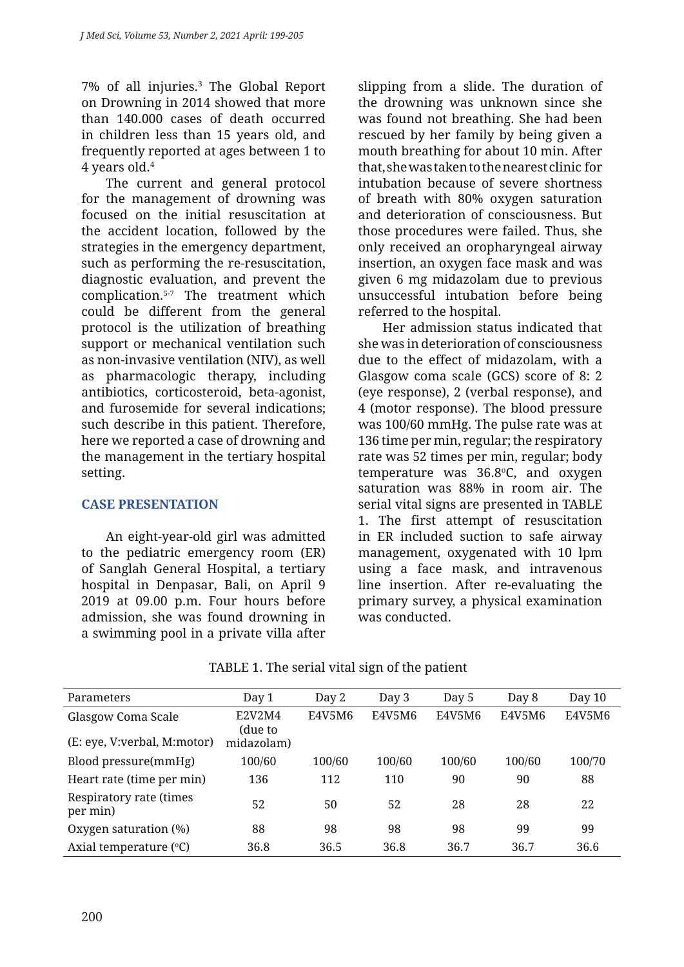7% of all injuries.3 The Global Report on Drowning in 2014 showed that more than 140.000 cases of death occurred in children less than 15 years old, and frequently reported at ages between 1 to 4 years old.4

The current and general protocol for the management of drowning was focused on the initial resuscitation at the accident location, followed by the strategies in the emergency department, such as performing the re-resuscitation, diagnostic evaluation, and prevent the complication.5-7 The treatment which could be different from the general protocol is the utilization of breathing support or mechanical ventilation such as non-invasive ventilation (NIV), as well as pharmacologic therapy, including antibiotics, corticosteroid, beta-agonist, and furosemide for several indications; such describe in this patient. Therefore, here we reported a case of drowning and the management in the tertiary hospital setting.

## **CASE PRESENTATION**

An eight-year-old girl was admitted to the pediatric emergency room (ER) of Sanglah General Hospital, a tertiary hospital in Denpasar, Bali, on April 9 2019 at 09.00 p.m. Four hours before admission, she was found drowning in a swimming pool in a private villa after slipping from a slide. The duration of the drowning was unknown since she was found not breathing. She had been rescued by her family by being given a mouth breathing for about 10 min. After that, she was taken to the nearest clinic for intubation because of severe shortness of breath with 80% oxygen saturation and deterioration of consciousness. But those procedures were failed. Thus, she only received an oropharyngeal airway insertion, an oxygen face mask and was given 6 mg midazolam due to previous unsuccessful intubation before being referred to the hospital.

Her admission status indicated that she was in deterioration of consciousness due to the effect of midazolam, with a Glasgow coma scale (GCS) score of 8: 2 (eye response), 2 (verbal response), and 4 (motor response). The blood pressure was 100/60 mmHg. The pulse rate was at 136 time per min, regular; the respiratory rate was 52 times per min, regular; body temperature was 36.8°C, and oxygen saturation was 88% in room air. The serial vital signs are presented in TABLE 1. The first attempt of resuscitation in ER included suction to safe airway management, oxygenated with 10 lpm using a face mask, and intravenous line insertion. After re-evaluating the primary survey, a physical examination was conducted.

| Parameters                          | Day 1             | Day 2  | Day 3  | Day 5  | Day 8  | Day 10 |
|-------------------------------------|-------------------|--------|--------|--------|--------|--------|
| Glasgow Coma Scale                  | E2V2M4<br>(due to | E4V5M6 | E4V5M6 | E4V5M6 | E4V5M6 | E4V5M6 |
| (E: eye, V: verbal, M: motor)       | midazolam)        |        |        |        |        |        |
| Blood pressure(mmHg)                | 100/60            | 100/60 | 100/60 | 100/60 | 100/60 | 100/70 |
| Heart rate (time per min)           | 136               | 112    | 110    | 90     | 90     | 88     |
| Respiratory rate (times<br>per min) | 52                | 50     | 52     | 28     | 28     | 22     |
| Oxygen saturation (%)               | 88                | 98     | 98     | 98     | 99     | 99     |
| Axial temperature $(°C)$            | 36.8              | 36.5   | 36.8   | 36.7   | 36.7   | 36.6   |

TABLE 1. The serial vital sign of the patient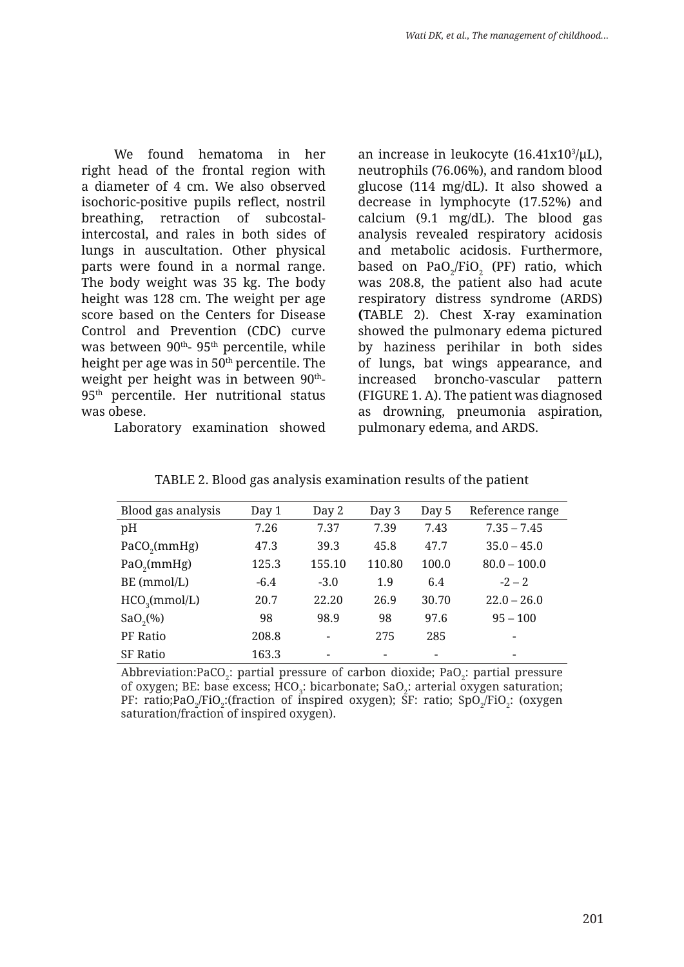We found hematoma in her right head of the frontal region with a diameter of 4 cm. We also observed isochoric-positive pupils reflect, nostril breathing, retraction of subcostalintercostal, and rales in both sides of lungs in auscultation. Other physical parts were found in a normal range. The body weight was 35 kg. The body height was 128 cm. The weight per age score based on the Centers for Disease Control and Prevention (CDC) curve was between  $90<sup>th</sup>$ -  $95<sup>th</sup>$  percentile, while height per age was in  $50<sup>th</sup>$  percentile. The weight per height was in between 90<sup>th</sup>-95th percentile. Her nutritional status was obese.

Laboratory examination showed

an increase in leukocyte  $(16.41x10^3/\mu L)$ , neutrophils (76.06%), and random blood glucose (114 mg/dL). It also showed a decrease in lymphocyte (17.52%) and calcium (9.1 mg/dL). The blood gas analysis revealed respiratory acidosis and metabolic acidosis. Furthermore, based on  $\text{PaO}_2/\text{FiO}_2$  (PF) ratio, which was 208.8, the patient also had acute respiratory distress syndrome (ARDS) **(**TABLE 2). Chest X-ray examination showed the pulmonary edema pictured by haziness perihilar in both sides of lungs, bat wings appearance, and increased broncho-vascular pattern (FIGURE 1. A). The patient was diagnosed as drowning, pneumonia aspiration, pulmonary edema, and ARDS.

| Blood gas analysis        | Day 1  | Day 2                    | Day 3  | Day 5                    | Reference range          |
|---------------------------|--------|--------------------------|--------|--------------------------|--------------------------|
| pH                        | 7.26   | 7.37                     | 7.39   | 7.43                     | $7.35 - 7.45$            |
| PaCO <sub>2</sub> (mmHg)  | 47.3   | 39.3                     | 45.8   | 47.7                     | $35.0 - 45.0$            |
| $PaO_2$ (mmHg)            | 125.3  | 155.10                   | 110.80 | 100.0                    | $80.0 - 100.0$           |
| BE (mmol/L)               | $-6.4$ | $-3.0$                   | 1.9    | 6.4                      | $-2 - 2$                 |
| HCO <sub>3</sub> (mmol/L) | 20.7   | 22.20                    | 26.9   | 30.70                    | $22.0 - 26.0$            |
| $SaO_{2}(%)$              | 98     | 98.9                     | 98     | 97.6                     | $95 - 100$               |
| PF Ratio                  | 208.8  | $\overline{\phantom{a}}$ | 275    | 285                      | $\overline{\phantom{a}}$ |
| <b>SF Ratio</b>           | 163.3  | $\overline{\phantom{a}}$ | -      | $\overline{\phantom{0}}$ | $\overline{\phantom{a}}$ |

TABLE 2. Blood gas analysis examination results of the patient

Abbreviation:PaCO<sub>2</sub>: partial pressure of carbon dioxide; PaO<sub>2</sub>: partial pressure of oxygen; BE: base excess; HCO<sub>3</sub>: bicarbonate; SaO<sub>2</sub>: arterial oxygen saturation; PF: ratio;PaO<sub>2</sub>/FiO<sub>2</sub>:(fraction of inspired oxygen); SF: ratio; SpO<sub>2</sub>/FiO<sub>2</sub>: (oxygen saturation/fraction of inspired oxygen).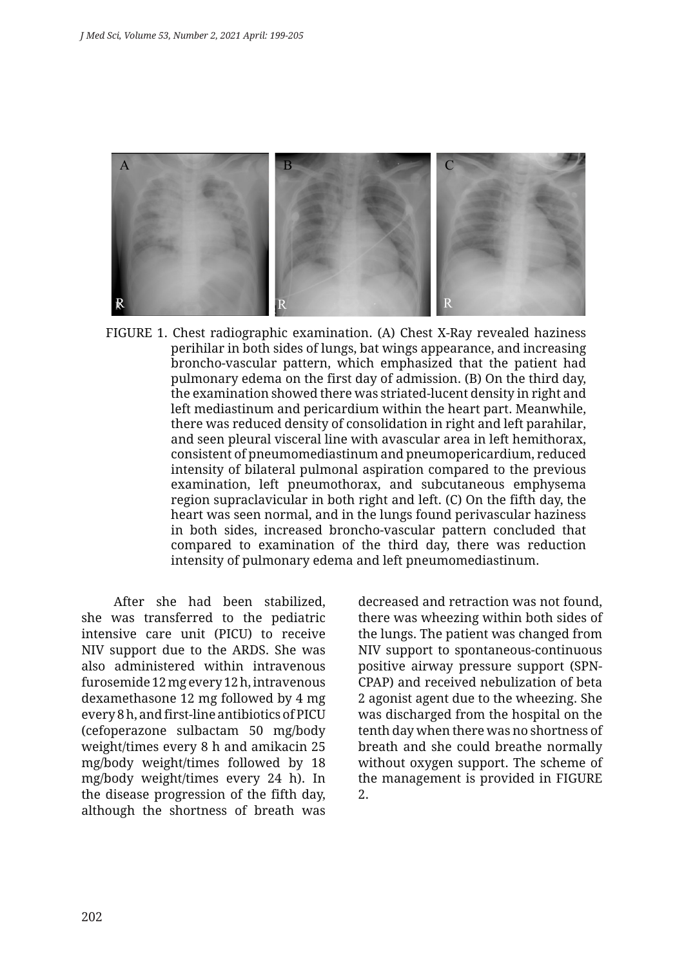

FIGURE 1. Chest radiographic examination. (A) Chest X-Ray revealed haziness perihilar in both sides of lungs, bat wings appearance, and increasing broncho-vascular pattern, which emphasized that the patient had pulmonary edema on the first day of admission. (B) On the third day, the examination showed there was striated-lucent density in right and left mediastinum and pericardium within the heart part. Meanwhile, there was reduced density of consolidation in right and left parahilar, and seen pleural visceral line with avascular area in left hemithorax, consistent of pneumomediastinum and pneumopericardium, reduced intensity of bilateral pulmonal aspiration compared to the previous examination, left pneumothorax, and subcutaneous emphysema region supraclavicular in both right and left. (C) On the fifth day, the heart was seen normal, and in the lungs found perivascular haziness in both sides, increased broncho-vascular pattern concluded that compared to examination of the third day, there was reduction intensity of pulmonary edema and left pneumomediastinum.

After she had been stabilized, she was transferred to the pediatric intensive care unit (PICU) to receive NIV support due to the ARDS. She was also administered within intravenous furosemide 12 mg every 12 h, intravenous dexamethasone 12 mg followed by 4 mg every 8 h, and first-line antibiotics of PICU (cefoperazone sulbactam 50 mg/body weight/times every 8 h and amikacin 25 mg/body weight/times followed by 18 mg/body weight/times every 24 h). In the disease progression of the fifth day, although the shortness of breath was decreased and retraction was not found, there was wheezing within both sides of the lungs. The patient was changed from NIV support to spontaneous-continuous positive airway pressure support (SPN-CPAP) and received nebulization of beta 2 agonist agent due to the wheezing. She was discharged from the hospital on the tenth day when there was no shortness of breath and she could breathe normally without oxygen support. The scheme of the management is provided in FIGURE 2.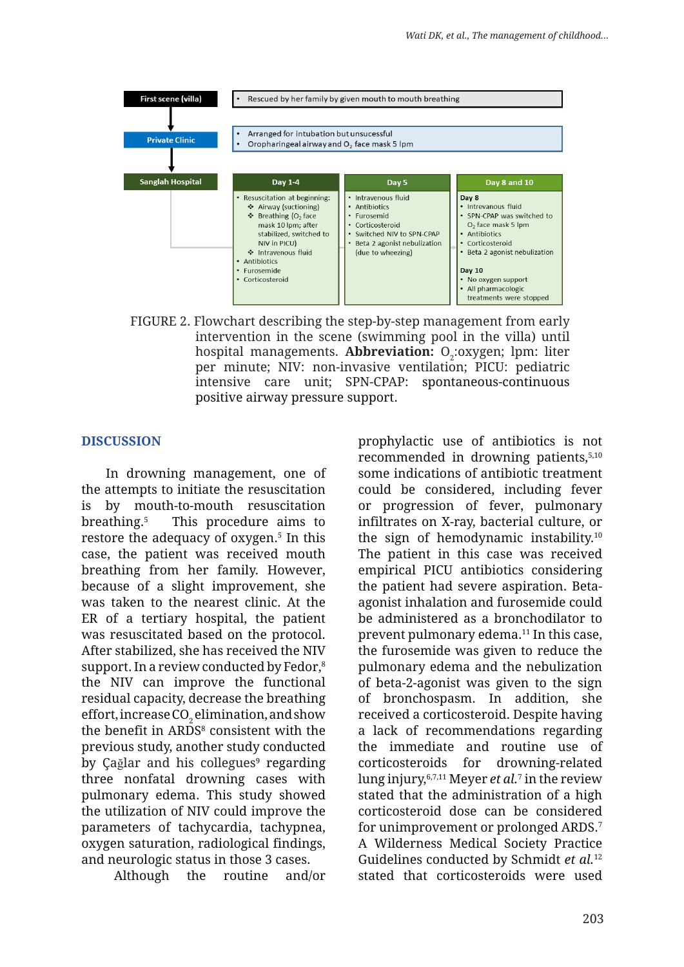

FIGURE 2. Flowchart describing the step-by-step management from early intervention in the scene (swimming pool in the villa) until hospital managements. **Abbreviation:** O<sub>2</sub>:oxygen; lpm: liter per minute; NIV: non-invasive ventilation; PICU: pediatric intensive care unit; SPN-CPAP: spontaneous-continuous positive airway pressure support.

### **DISCUSSION**

In drowning management, one of the attempts to initiate the resuscitation is by mouth-to-mouth resuscitation breathing.5 This procedure aims to restore the adequacy of oxygen.<sup>5</sup> In this case, the patient was received mouth breathing from her family. However, because of a slight improvement, she was taken to the nearest clinic. At the ER of a tertiary hospital, the patient was resuscitated based on the protocol. After stabilized, she has received the NIV support. In a review conducted by Fedor,<sup>8</sup> the NIV can improve the functional residual capacity, decrease the breathing effort, increase CO $_2$  elimination, and show the benefit in ARDS<sup>8</sup> consistent with the previous study, another study conducted by Çağlar and his collegues<sup>9</sup> regarding three nonfatal drowning cases with pulmonary edema. This study showed the utilization of NIV could improve the parameters of tachycardia, tachypnea, oxygen saturation, radiological findings, and neurologic status in those 3 cases.

Although the routine and/or

prophylactic use of antibiotics is not recommended in drowning patients,<sup>5,10</sup> some indications of antibiotic treatment could be considered, including fever or progression of fever, pulmonary infiltrates on X-ray, bacterial culture, or the sign of hemodynamic instability.10 The patient in this case was received empirical PICU antibiotics considering the patient had severe aspiration. Betaagonist inhalation and furosemide could be administered as a bronchodilator to prevent pulmonary edema.11 In this case, the furosemide was given to reduce the pulmonary edema and the nebulization of beta-2-agonist was given to the sign of bronchospasm. In addition, she received a corticosteroid. Despite having a lack of recommendations regarding the immediate and routine use of corticosteroids for drowning-related lung injury,6,7,11 Meyer *et al.*<sup>7</sup> in the review stated that the administration of a high corticosteroid dose can be considered for unimprovement or prolonged ARDS.7 A Wilderness Medical Society Practice Guidelines conducted by Schmidt *et al.*<sup>12</sup> stated that corticosteroids were used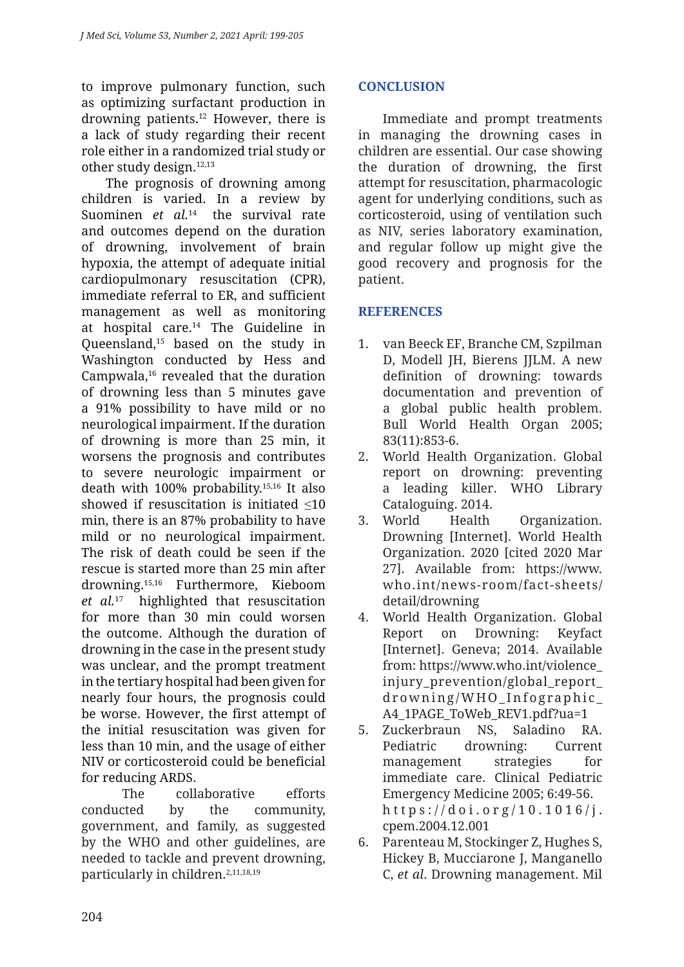to improve pulmonary function, such as optimizing surfactant production in drowning patients.12 However, there is a lack of study regarding their recent role either in a randomized trial study or other study design.12,13

The prognosis of drowning among children is varied. In a review by Suominen *et al.*14 the survival rate and outcomes depend on the duration of drowning, involvement of brain hypoxia, the attempt of adequate initial cardiopulmonary resuscitation (CPR), immediate referral to ER, and sufficient management as well as monitoring at hospital care.14 The Guideline in Queensland,15 based on the study in Washington conducted by Hess and Campwala,<sup>16</sup> revealed that the duration of drowning less than 5 minutes gave a 91% possibility to have mild or no neurological impairment. If the duration of drowning is more than 25 min, it worsens the prognosis and contributes to severe neurologic impairment or death with 100% probability.15,16 It also showed if resuscitation is initiated ≤10 min, there is an 87% probability to have mild or no neurological impairment. The risk of death could be seen if the rescue is started more than 25 min after drowning.15,16 Furthermore, Kieboom *et al.*17 highlighted that resuscitation for more than 30 min could worsen the outcome. Although the duration of drowning in the case in the present study was unclear, and the prompt treatment in the tertiary hospital had been given for nearly four hours, the prognosis could be worse. However, the first attempt of the initial resuscitation was given for less than 10 min, and the usage of either NIV or corticosteroid could be beneficial for reducing ARDS.

The collaborative efforts conducted by the community, government, and family, as suggested by the WHO and other guidelines, are needed to tackle and prevent drowning, particularly in children.<sup>2,11,18,19</sup>

# **CONCLUSION**

Immediate and prompt treatments in managing the drowning cases in children are essential. Our case showing the duration of drowning, the first attempt for resuscitation, pharmacologic agent for underlying conditions, such as corticosteroid, using of ventilation such as NIV, series laboratory examination, and regular follow up might give the good recovery and prognosis for the patient.

# **REFERENCES**

- 1. van Beeck EF, Branche CM, Szpilman D, Modell IH, Bierens IILM. A new definition of drowning: towards documentation and prevention of a global public health problem. Bull World Health Organ 2005; 83(11):853-6.
- 2. World Health Organization. Global report on drowning: preventing a leading killer. WHO Library Cataloguing. 2014.
- 3. World Health Organization. Drowning [Internet]. World Health Organization. 2020 [cited 2020 Mar 27]. Available from: https://www. who.int/news-room/fact-sheets/ detail/drowning
- 4. World Health Organization. Global Report on Drowning: Keyfact [Internet]. Geneva; 2014. Available from: https://www.who.int/violence\_ injury\_prevention/global\_report\_ drowning/WHO\_Infographic\_ A4\_1PAGE\_ToWeb\_REV1.pdf?ua=1
- 5. Zuckerbraun NS, Saladino RA. Pediatric drowning: Current management strategies for immediate care. Clinical Pediatric Emergency Medicine 2005; 6:49-56. https://doi.org/10.1016/j. cpem.2004.12.001
- 6. Parenteau M, Stockinger Z, Hughes S, Hickey B, Mucciarone J, Manganello C, *et al*. Drowning management. Mil